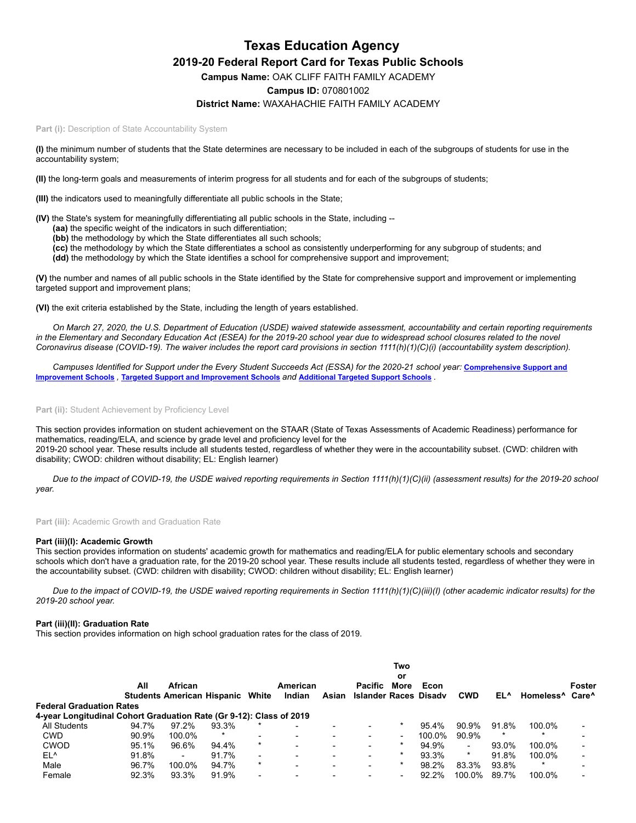# **Texas Education Agency 2019-20 Federal Report Card for Texas Public Schools Campus Name:** OAK CLIFF FAITH FAMILY ACADEMY **Campus ID:** 070801002 **District Name:** WAXAHACHIE FAITH FAMILY ACADEMY

#### Part (i): Description of State Accountability System

**(I)** the minimum number of students that the State determines are necessary to be included in each of the subgroups of students for use in the accountability system;

**(II)** the long-term goals and measurements of interim progress for all students and for each of the subgroups of students;

**(III)** the indicators used to meaningfully differentiate all public schools in the State;

**(IV)** the State's system for meaningfully differentiating all public schools in the State, including --

- **(aa)** the specific weight of the indicators in such differentiation;
- **(bb)** the methodology by which the State differentiates all such schools;
- **(cc)** the methodology by which the State differentiates a school as consistently underperforming for any subgroup of students; and

**(dd)** the methodology by which the State identifies a school for comprehensive support and improvement;

**(V)** the number and names of all public schools in the State identified by the State for comprehensive support and improvement or implementing targeted support and improvement plans;

**(VI)** the exit criteria established by the State, including the length of years established.

*On March 27, 2020, the U.S. Department of Education (USDE) waived statewide assessment, accountability and certain reporting requirements in the Elementary and Secondary Education Act (ESEA) for the 2019-20 school year due to widespread school closures related to the novel Coronavirus disease (COVID-19). The waiver includes the report card provisions in section 1111(h)(1)(C)(i) (accountability system description).*

*[Campuses Identified for Support under the Every Student Succeeds Act \(ESSA\) for the 2020-21 school year:](https://tea.texas.gov/sites/default/files/comprehensive_support_2020.xlsx)* **Comprehensive Support and Improvement Schools** *,* **Targeted Support and [Improvement](https://tea.texas.gov/sites/default/files/targeted_support_2020.xlsx) Schools** *and* **[Additional](https://tea.texas.gov/sites/default/files/additional_targeted_support_2020.xlsx) Targeted Support Schools** *.*

# Part (ii): Student Achievement by Proficiency Level

This section provides information on student achievement on the STAAR (State of Texas Assessments of Academic Readiness) performance for mathematics, reading/ELA, and science by grade level and proficiency level for the 2019-20 school year. These results include all students tested, regardless of whether they were in the accountability subset. (CWD: children with disability; CWOD: children without disability; EL: English learner)

*Due to the impact of COVID-19, the USDE waived reporting requirements in Section 1111(h)(1)(C)(ii) (assessment results) for the 2019-20 school year.*

**Part (iii):** Academic Growth and Graduation Rate

#### **Part (iii)(I): Academic Growth**

This section provides information on students' academic growth for mathematics and reading/ELA for public elementary schools and secondary schools which don't have a graduation rate, for the 2019-20 school year. These results include all students tested, regardless of whether they were in the accountability subset. (CWD: children with disability; CWOD: children without disability; EL: English learner)

*Due to the impact of COVID-19, the USDE waived reporting requirements in Section 1111(h)(1)(C)(iii)(I) (other academic indicator results) for the 2019-20 school year.*

# **Part (iii)(II): Graduation Rate**

This section provides information on high school graduation rates for the class of 2019.

|                                                                     |       | Two                                                |        |         |                    |       |                                  |                          |        |                          |         |                                         |        |
|---------------------------------------------------------------------|-------|----------------------------------------------------|--------|---------|--------------------|-------|----------------------------------|--------------------------|--------|--------------------------|---------|-----------------------------------------|--------|
|                                                                     | All   | African<br><b>Students American Hispanic White</b> |        |         | American<br>Indian | Asian | Pacific<br>Islander Races Disadv | or<br>More               | Econ   | <b>CWD</b>               | EL^     | Homeless <sup>^</sup> Care <sup>^</sup> | Foster |
| <b>Federal Graduation Rates</b>                                     |       |                                                    |        |         |                    |       |                                  |                          |        |                          |         |                                         |        |
| 4-year Longitudinal Cohort Graduation Rate (Gr 9-12): Class of 2019 |       |                                                    |        |         |                    |       |                                  |                          |        |                          |         |                                         |        |
| <b>All Students</b>                                                 | 94.7% | 97.2%                                              | 93.3%  |         |                    |       | $\overline{\phantom{0}}$         |                          | 95.4%  | 90.9%                    | 91.8%   | 100.0%                                  |        |
| <b>CWD</b>                                                          | 90.9% | 100.0%                                             | $\ast$ |         |                    |       | ۰                                | ٠                        | 100.0% | 90.9%                    | $\star$ |                                         |        |
| <b>CWOD</b>                                                         | 95.1% | 96.6%                                              | 94.4%  |         | $\sim$             | -     | $\overline{\phantom{a}}$         | $\ast$                   | 94.9%  | $\overline{\phantom{a}}$ | 93.0%   | 100.0%                                  |        |
| EL <sup>^</sup>                                                     | 91.8% | $\overline{\phantom{a}}$                           | 91.7%  |         |                    |       | ۰                                | $\ast$                   | 93.3%  | $\ast$                   | 91.8%   | 100.0%                                  |        |
| Male                                                                | 96.7% | 100.0%                                             | 94.7%  | $\star$ |                    |       | ۰                                |                          | 98.2%  | 83.3%                    | 93.8%   |                                         |        |
| Female                                                              | 92.3% | 93.3%                                              | 91.9%  |         |                    |       | $\overline{\phantom{0}}$         | $\overline{\phantom{0}}$ | 92.2%  | 100.0%                   | 89.7%   | 100.0%                                  |        |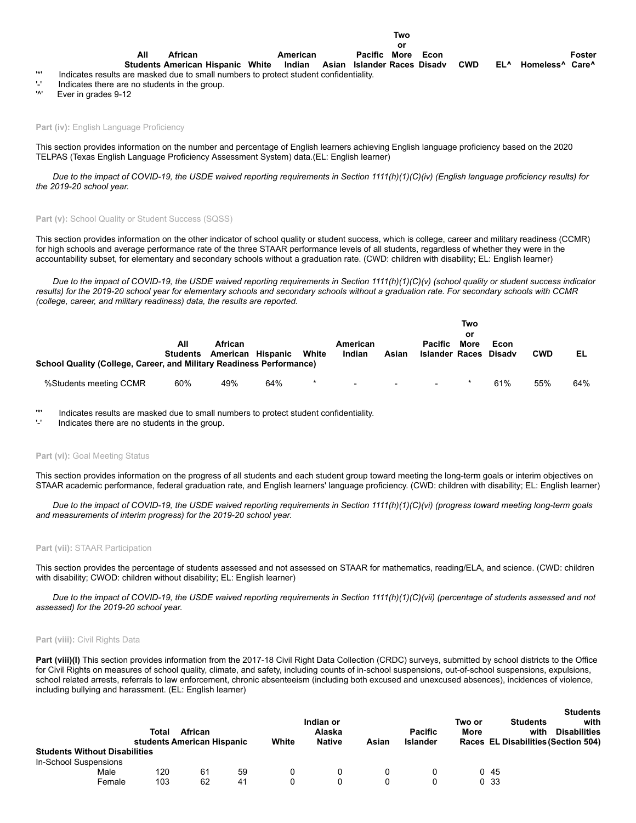**Econ**

**Students American Hispanic White African Indian Asian Islander Races Pacific More Disadv CWD EL^ Homeless^ Care^** '\*' Indicates results are masked due to small numbers to protect student confidentiality.

 $'$ -' Indicates there are no students in the group.<br>'<sup>1'</sup> Ever in grades  $9-12$ 

**All**

Ever in grades 9-12

Part (iv): English Language Proficiency

This section provides information on the number and percentage of English learners achieving English language proficiency based on the 2020 TELPAS (Texas English Language Proficiency Assessment System) data.(EL: English learner)

**American**

*Due to the impact of COVID-19, the USDE waived reporting requirements in Section 1111(h)(1)(C)(iv) (English language proficiency results) for the 2019-20 school year.*

#### Part (v): School Quality or Student Success (SQSS)

This section provides information on the other indicator of school quality or student success, which is college, career and military readiness (CCMR) for high schools and average performance rate of the three STAAR performance levels of all students, regardless of whether they were in the accountability subset, for elementary and secondary schools without a graduation rate. (CWD: children with disability; EL: English learner)

*Due to the impact of COVID-19, the USDE waived reporting requirements in Section 1111(h)(1)(C)(v) (school quality or student success indicator results) for the 2019-20 school year for elementary schools and secondary schools without a graduation rate. For secondary schools with CCMR (college, career, and military readiness) data, the results are reported.*

|                                                                      |                 |                     |          |        |                    |                          |                                         | Two        |                |            |     |
|----------------------------------------------------------------------|-----------------|---------------------|----------|--------|--------------------|--------------------------|-----------------------------------------|------------|----------------|------------|-----|
|                                                                      | All<br>Students | African<br>American | Hispanic | White  | American<br>Indian | Asian                    | <b>Pacific</b><br><b>Islander Races</b> | or<br>More | Econ<br>Disadv | <b>CWD</b> | EL  |
| School Quality (College, Career, and Military Readiness Performance) |                 |                     |          |        |                    |                          |                                         |            |                |            |     |
| %Students meeting CCMR                                               | 60%             | 49%                 | 64%      | $\ast$ | $\sim$             | $\overline{\phantom{a}}$ | $\sim$                                  |            | 61%            | 55%        | 64% |

'\*' Indicates results are masked due to small numbers to protect student confidentiality.

Indicates there are no students in the group.

## Part (vi): Goal Meeting Status

This section provides information on the progress of all students and each student group toward meeting the long-term goals or interim objectives on STAAR academic performance, federal graduation rate, and English learners' language proficiency. (CWD: children with disability; EL: English learner)

*Due to the impact of COVID-19, the USDE waived reporting requirements in Section 1111(h)(1)(C)(vi) (progress toward meeting long-term goals and measurements of interim progress) for the 2019-20 school year.*

#### **Part (vii):** STAAR Participation

This section provides the percentage of students assessed and not assessed on STAAR for mathematics, reading/ELA, and science. (CWD: children with disability; CWOD: children without disability; EL: English learner)

*Due to the impact of COVID-19, the USDE waived reporting requirements in Section 1111(h)(1)(C)(vii) (percentage of students assessed and not assessed) for the 2019-20 school year.*

# Part (viii): Civil Rights Data

Part (viii)(I) This section provides information from the 2017-18 Civil Right Data Collection (CRDC) surveys, submitted by school districts to the Office for Civil Rights on measures of school quality, climate, and safety, including counts of in-school suspensions, out-of-school suspensions, expulsions, school related arrests, referrals to law enforcement, chronic absenteeism (including both excused and unexcused absences), incidences of violence, including bullying and harassment. (EL: English learner)

|                                      | African<br>Total |                            |    |       | Indian or<br>Alaska |       | <b>Pacific</b>  | Two or<br>More | <b>Students</b><br>with             | <b>Students</b><br>with<br><b>Disabilities</b> |
|--------------------------------------|------------------|----------------------------|----|-------|---------------------|-------|-----------------|----------------|-------------------------------------|------------------------------------------------|
|                                      |                  | students American Hispanic |    | White | <b>Native</b>       | Asian | <b>Islander</b> |                | Races EL Disabilities (Section 504) |                                                |
| <b>Students Without Disabilities</b> |                  |                            |    |       |                     |       |                 |                |                                     |                                                |
| In-School Suspensions                |                  |                            |    |       |                     |       |                 |                |                                     |                                                |
| Male                                 | 120              | 61                         | 59 |       |                     |       |                 |                | 045                                 |                                                |
| Female                               | 103              | 62                         | 41 |       | 0                   |       |                 |                | 0 <sub>33</sub>                     |                                                |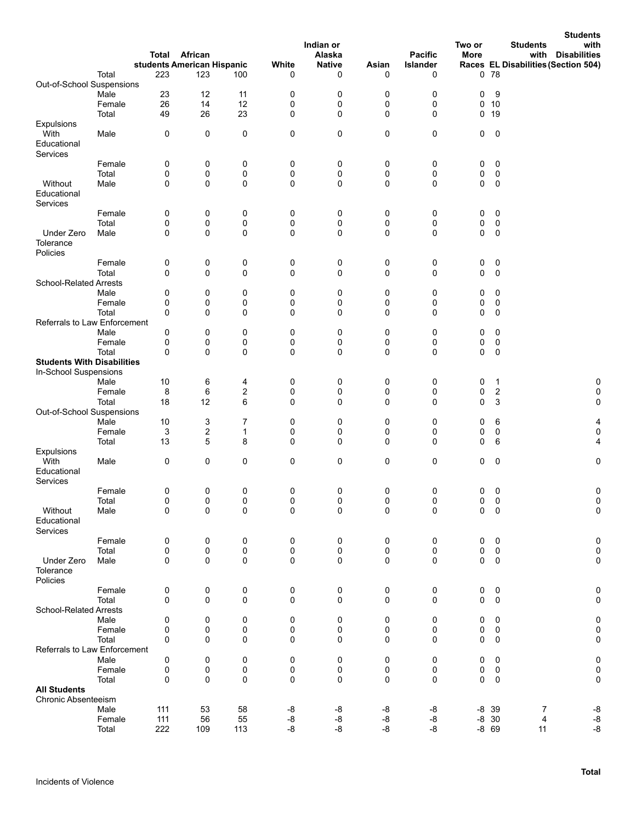|                                     |                 | Total            | African<br>students American Hispanic |                  | White      | Indian or<br>Alaska<br><b>Native</b> | Asian     | <b>Pacific</b><br>Islander | Two or<br>More |                    | <b>Students</b><br>with<br><b>Students</b><br>with<br><b>Disabilities</b><br>Races EL Disabilities (Section 504) |
|-------------------------------------|-----------------|------------------|---------------------------------------|------------------|------------|--------------------------------------|-----------|----------------------------|----------------|--------------------|------------------------------------------------------------------------------------------------------------------|
|                                     | Total           | 223              | 123                                   | 100              | 0          | 0                                    | 0         | 0                          |                | 078                |                                                                                                                  |
| Out-of-School Suspensions           |                 |                  |                                       |                  |            |                                      |           |                            |                |                    |                                                                                                                  |
|                                     | Male            | 23               | 12                                    | 11               | 0          | 0                                    | 0         | 0                          | 0              | 9                  |                                                                                                                  |
|                                     | Female          | 26               | 14                                    | 12               | 0          | 0                                    | 0         | $\pmb{0}$                  | 0              | 10                 |                                                                                                                  |
| Expulsions                          | Total           | 49               | 26                                    | 23               | 0          | 0                                    | 0         | 0                          | 0              | 19                 |                                                                                                                  |
| With                                | Male            | 0                | 0                                     | 0                | 0          | 0                                    | 0         | 0                          | 0              | 0                  |                                                                                                                  |
| Educational<br>Services             |                 |                  |                                       |                  |            |                                      |           |                            |                |                    |                                                                                                                  |
|                                     | Female          | 0                | 0                                     | 0                | 0          | 0                                    | 0         | 0                          | 0              | 0                  |                                                                                                                  |
|                                     | Total           | 0                | 0                                     | 0                | 0          | 0                                    | 0         | 0                          | 0              | 0                  |                                                                                                                  |
| Without<br>Educational<br>Services  | Male            | 0                | 0                                     | 0                | 0          | 0                                    | 0         | $\mathbf 0$                | 0              | $\mathbf 0$        |                                                                                                                  |
|                                     | Female          | 0                | 0                                     | 0                | 0          | 0                                    | 0         | 0                          | 0              | 0                  |                                                                                                                  |
|                                     | Total           | 0                | 0                                     | 0                | 0          | 0                                    | 0         | 0                          | 0              | 0                  |                                                                                                                  |
| Under Zero<br>Tolerance<br>Policies | Male            | 0                | 0                                     | 0                | 0          | 0                                    | 0         | $\pmb{0}$                  | $\mathbf 0$    | 0                  |                                                                                                                  |
|                                     | Female          | $\boldsymbol{0}$ | 0                                     | 0                | 0          | 0                                    | 0         | 0                          | 0              | 0                  |                                                                                                                  |
|                                     | Total           | 0                | 0                                     | $\mathbf 0$      | 0          | 0                                    | 0         | $\mathbf 0$                | $\mathbf 0$    | 0                  |                                                                                                                  |
| <b>School-Related Arrests</b>       |                 |                  |                                       |                  |            |                                      |           |                            |                |                    |                                                                                                                  |
|                                     | Male            | 0                | 0                                     | 0                | 0          | 0                                    | 0         | 0                          | 0              | 0                  |                                                                                                                  |
|                                     | Female          | 0                | 0                                     | 0                | 0          | 0                                    | 0         | 0                          | 0              | 0                  |                                                                                                                  |
|                                     | Total           | 0                | 0                                     | 0                | 0          | 0                                    | 0         | $\pmb{0}$                  | 0              | 0                  |                                                                                                                  |
| Referrals to Law Enforcement        |                 |                  |                                       |                  |            |                                      |           |                            |                |                    |                                                                                                                  |
|                                     | Male            | 0                | 0                                     | 0                | 0          | 0                                    | 0         | 0                          | 0              | 0                  |                                                                                                                  |
|                                     | Female          | 0                | 0                                     | 0                | 0          | 0                                    | 0         | 0                          | 0              | 0                  |                                                                                                                  |
| <b>Students With Disabilities</b>   | Total           | 0                | 0                                     | 0                | 0          | 0                                    | 0         | $\pmb{0}$                  | $\mathbf 0$    | 0                  |                                                                                                                  |
| In-School Suspensions               |                 |                  |                                       |                  |            |                                      |           |                            |                |                    |                                                                                                                  |
|                                     | Male            | 10               | 6                                     | 4                | 0          | 0                                    | 0         | 0                          | 0              | 1                  | 0                                                                                                                |
|                                     | Female          | 8                | 6                                     | $\boldsymbol{2}$ | 0          | 0                                    | 0         | 0                          | 0              | $\boldsymbol{2}$   | 0                                                                                                                |
|                                     | Total           | 18               | 12                                    | 6                | 0          | 0                                    | 0         | $\mathbf 0$                | $\mathbf 0$    | 3                  | 0                                                                                                                |
| Out-of-School Suspensions           |                 |                  |                                       |                  |            |                                      |           |                            |                |                    |                                                                                                                  |
|                                     | Male            | 10               | 3                                     | $\overline{7}$   | 0          | 0                                    | 0         | 0                          | 0              | 6                  | 4                                                                                                                |
|                                     | Female          | 3                | 2                                     | 1                | 0          | 0                                    | 0         | 0                          | 0              | 0                  | $\pmb{0}$                                                                                                        |
|                                     | Total           | 13               | 5                                     | 8                | 0          | 0                                    | 0         | $\mathbf 0$                | 0              | 6                  | 4                                                                                                                |
| Expulsions                          |                 |                  |                                       |                  |            |                                      |           |                            |                |                    |                                                                                                                  |
| With<br>Educational<br>Services     | Male            | 0                | 0                                     | 0                | 0          | 0                                    | $\pmb{0}$ | 0                          | 0              | 0                  | $\pmb{0}$                                                                                                        |
|                                     | Female          | 0                | 0                                     | 0                | 0          | 0                                    | 0         | 0                          | 0              | 0                  | 0                                                                                                                |
|                                     | Total           | 0                | 0                                     | 0                | 0          | 0                                    | 0         | 0                          | 0              | $\boldsymbol{0}$   | 0                                                                                                                |
| Without<br>Educational<br>Services  | Male            | $\pmb{0}$        | 0                                     | 0                | 0          | 0                                    | 0         | $\pmb{0}$                  | $\mathbf 0$    | $\pmb{0}$          | 0                                                                                                                |
|                                     | Female          | 0                | 0                                     | 0                | 0          | 0                                    | 0         | 0                          | 0              | 0                  | 0                                                                                                                |
|                                     | Total           | 0                | 0                                     | 0                | 0          | 0                                    | 0         | 0                          | 0              | 0                  | 0                                                                                                                |
| Under Zero<br>Tolerance<br>Policies | Male            | 0                | 0                                     | 0                | 0          | 0                                    | 0         | $\pmb{0}$                  | 0              | 0                  | 0                                                                                                                |
|                                     | Female          | 0                | 0                                     | 0                | 0          | 0                                    | 0         | 0                          | 0              | 0                  | 0                                                                                                                |
|                                     | Total           | 0                | 0                                     | 0                | 0          | 0                                    | 0         | $\mathbf 0$                | $\pmb{0}$      | 0                  | 0                                                                                                                |
| <b>School-Related Arrests</b>       |                 |                  |                                       |                  |            |                                      |           |                            |                |                    |                                                                                                                  |
|                                     | Male            | 0                | 0                                     | 0                | 0          | 0                                    | 0         | 0                          | 0              | 0                  | 0                                                                                                                |
|                                     | Female          | 0                | 0                                     | 0                | 0          | 0                                    | 0         | 0                          | 0              | 0                  | 0                                                                                                                |
|                                     | Total           | $\Omega$         | 0                                     | 0                | 0          | 0                                    | 0         | $\mathbf 0$                | 0              | 0                  | 0                                                                                                                |
| Referrals to Law Enforcement        |                 |                  |                                       |                  |            |                                      |           |                            |                |                    |                                                                                                                  |
|                                     | Male<br>Female  | 0<br>0           | 0<br>0                                | 0<br>0           | 0<br>0     | 0<br>0                               | 0<br>0    | 0<br>0                     | 0<br>0         | 0<br>0             | 0<br>0                                                                                                           |
|                                     | Total           | 0                | 0                                     | 0                | 0          | 0                                    | 0         | 0                          | $\mathbf 0$    | 0                  | 0                                                                                                                |
| <b>All Students</b>                 |                 |                  |                                       |                  |            |                                      |           |                            |                |                    |                                                                                                                  |
| Chronic Absenteeism                 |                 |                  |                                       |                  |            |                                      |           |                            |                |                    |                                                                                                                  |
|                                     | Male            | 111              | 53                                    | 58               | -8         | -8                                   | -8        | -8                         |                | $-8$ 39            | -8<br>7<br>-8<br>4                                                                                               |
|                                     | Female<br>Total | 111<br>222       | 56<br>109                             | 55<br>113        | -8<br>$-8$ | -8<br>$-8$                           | -8<br>-8  | -8<br>-8                   |                | $-8$ 30<br>$-8$ 69 | -8<br>11                                                                                                         |
|                                     |                 |                  |                                       |                  |            |                                      |           |                            |                |                    |                                                                                                                  |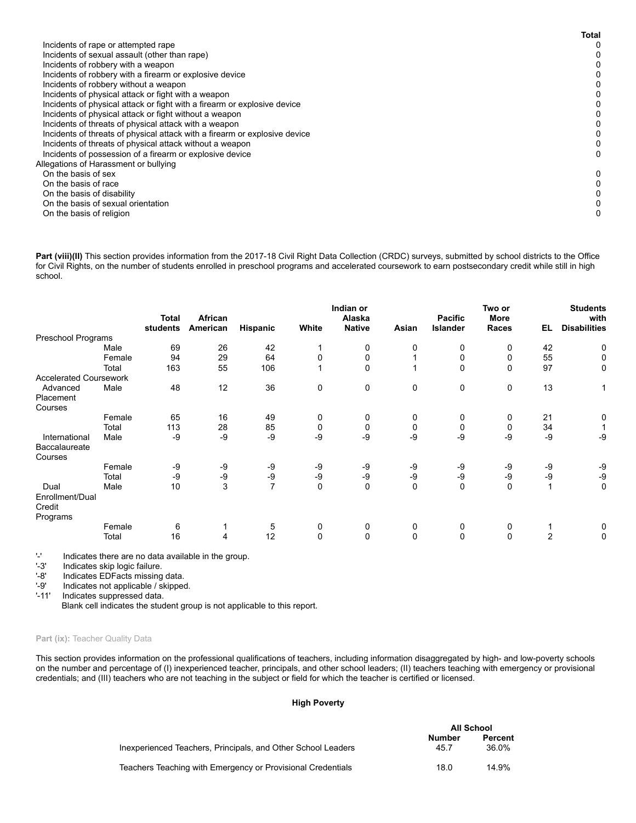|                                                                            | <b>Total</b> |
|----------------------------------------------------------------------------|--------------|
| Incidents of rape or attempted rape                                        | 0            |
| Incidents of sexual assault (other than rape)                              | $^{(1)}$     |
| Incidents of robbery with a weapon                                         |              |
| Incidents of robbery with a firearm or explosive device                    |              |
| Incidents of robbery without a weapon                                      |              |
| Incidents of physical attack or fight with a weapon                        |              |
| Incidents of physical attack or fight with a firearm or explosive device   |              |
| Incidents of physical attack or fight without a weapon                     |              |
| Incidents of threats of physical attack with a weapon                      |              |
| Incidents of threats of physical attack with a firearm or explosive device |              |
| Incidents of threats of physical attack without a weapon                   |              |
| Incidents of possession of a firearm or explosive device                   | 0            |
| Allegations of Harassment or bullying                                      |              |
| On the basis of sex                                                        | 0            |
| On the basis of race                                                       |              |
| On the basis of disability                                                 |              |
| On the basis of sexual orientation                                         |              |
| On the basis of religion                                                   | 0            |

Part (viii)(II) This section provides information from the 2017-18 Civil Right Data Collection (CRDC) surveys, submitted by school districts to the Office for Civil Rights, on the number of students enrolled in preschool programs and accelerated coursework to earn postsecondary credit while still in high school.

|                                       |        | <b>Total</b> | African      |                 |              | Indian or<br>Alaska |             | <b>Pacific</b>  | Two or<br><b>More</b> |                | <b>Students</b><br>with |
|---------------------------------------|--------|--------------|--------------|-----------------|--------------|---------------------|-------------|-----------------|-----------------------|----------------|-------------------------|
|                                       |        | students     | American     | <b>Hispanic</b> | White        | <b>Native</b>       | Asian       | <b>Islander</b> | Races                 | EL             | <b>Disabilities</b>     |
| Preschool Programs                    |        |              |              |                 |              |                     |             |                 |                       |                |                         |
|                                       | Male   | 69           | 26           | 42              |              | 0                   | 0           | 0               | 0                     | 42             | 0                       |
|                                       | Female | 94           | 29           | 64              | 0            | $\mathbf 0$         |             | 0               | 0                     | 55             | 0                       |
|                                       | Total  | 163          | 55           | 106             |              | $\Omega$            |             | $\mathbf 0$     | $\mathbf 0$           | 97             | 0                       |
| <b>Accelerated Coursework</b>         |        |              |              |                 |              |                     |             |                 |                       |                |                         |
| Advanced                              | Male   | 48           | 12           | 36              | 0            | 0                   | 0           | 0               | 0                     | 13             | 1                       |
| Placement                             |        |              |              |                 |              |                     |             |                 |                       |                |                         |
| Courses                               |        |              |              |                 |              |                     |             |                 |                       |                |                         |
|                                       | Female | 65           | 16           | 49              | 0            | 0                   | 0           | 0               | 0                     | 21             | 0                       |
|                                       | Total  | 113          | 28           | 85              | 0            | 0                   | 0           | 0               | 0                     | 34             |                         |
| International                         | Male   | -9           | -9           | -9              | -9           | $-9$                | -9          | -9              | -9                    | $-9$           | -9                      |
| Baccalaureate                         |        |              |              |                 |              |                     |             |                 |                       |                |                         |
| Courses                               |        |              |              |                 |              |                     |             |                 |                       |                |                         |
|                                       | Female | -9           | -9           | -9              | -9           | -9                  | -9          | -9              | -9                    | -9             | -9                      |
|                                       | Total  | -9           | -9           | -9              | -9           | -9                  | -9          | -9              | -9                    | -9             | -9                      |
| Dual                                  | Male   | 10           | $\mathbf{3}$ | $\overline{7}$  | 0            | $\mathbf 0$         | $\mathbf 0$ | $\mathbf 0$     | $\mathbf 0$           | 1              | 0                       |
| Enrollment/Dual<br>Credit<br>Programs |        |              |              |                 |              |                     |             |                 |                       |                |                         |
|                                       | Female | 6            |              | 5               | 0            | 0                   | 0           | 0               | 0                     |                | 0                       |
|                                       | Total  | 16           | 4            | 12              | $\mathbf{0}$ | $\mathbf{0}$        | $\mathbf 0$ | $\mathbf 0$     | $\mathbf{0}$          | $\overline{2}$ | 0                       |

 $-1$  Indicates there are no data available in the group.<br> $-3$  Indicates skip logic failure.

'-3' Indicates skip logic failure.<br>'-8' Indicates EDFacts missing

'-8' Indicates EDFacts missing data.<br>'-9' Indicates not applicable / skipped

'-9' Indicates not applicable / skipped.<br>'-11' Indicates suppressed data.

Indicates suppressed data.

Blank cell indicates the student group is not applicable to this report.

# Part (ix): Teacher Quality Data

This section provides information on the professional qualifications of teachers, including information disaggregated by high- and low-poverty schools on the number and percentage of (I) inexperienced teacher, principals, and other school leaders; (II) teachers teaching with emergency or provisional credentials; and (III) teachers who are not teaching in the subject or field for which the teacher is certified or licensed.

# **High Poverty**

|                                                              | All School            |                  |
|--------------------------------------------------------------|-----------------------|------------------|
| Inexperienced Teachers, Principals, and Other School Leaders | <b>Number</b><br>45.7 | Percent<br>36.0% |
| Teachers Teaching with Emergency or Provisional Credentials  | 18.0                  | 14.9%            |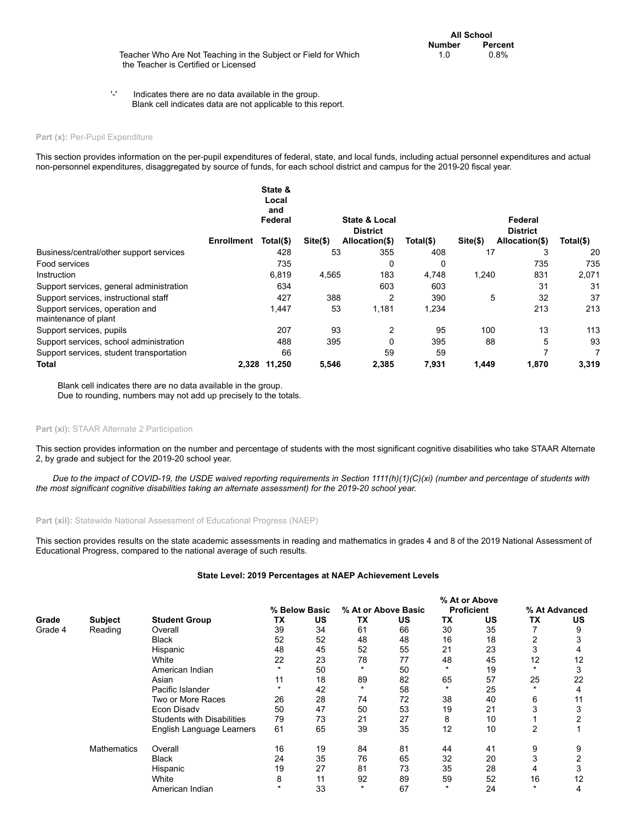Teacher Who Are Not Teaching in the Subject or Field for Which the Teacher is Certified or Licensed

'-' Indicates there are no data available in the group. Blank cell indicates data are not applicable to this report.

# Part (x): Per-Pupil Expenditure

This section provides information on the per-pupil expenditures of federal, state, and local funds, including actual personnel expenditures and actual non-personnel expenditures, disaggregated by source of funds, for each school district and campus for the 2019-20 fiscal year.

|                                                         |                   | State &<br>Local<br>and<br>Federal |            | State & Local<br><b>District</b> |           |            | Federal<br><b>District</b> |           |
|---------------------------------------------------------|-------------------|------------------------------------|------------|----------------------------------|-----------|------------|----------------------------|-----------|
|                                                         | <b>Enrollment</b> | Total(\$)                          | $Site(\$)$ | Allocation(\$)                   | Total(\$) | $Site(\$)$ | Allocation(\$)             | Total(\$) |
| Business/central/other support services                 |                   | 428                                | 53         | 355                              | 408       | 17         | 3                          | 20        |
| Food services                                           |                   | 735                                |            | 0                                | 0         |            | 735                        | 735       |
| Instruction                                             |                   | 6,819                              | 4,565      | 183                              | 4,748     | 1,240      | 831                        | 2,071     |
| Support services, general administration                |                   | 634                                |            | 603                              | 603       |            | 31                         | 31        |
| Support services, instructional staff                   |                   | 427                                | 388        | 2                                | 390       | 5          | 32                         | 37        |
| Support services, operation and<br>maintenance of plant |                   | 1,447                              | 53         | 1,181                            | 1,234     |            | 213                        | 213       |
| Support services, pupils                                |                   | 207                                | 93         | 2                                | 95        | 100        | 13                         | 113       |
| Support services, school administration                 |                   | 488                                | 395        | 0                                | 395       | 88         | 5                          | 93        |
| Support services, student transportation                |                   | 66                                 |            | 59                               | 59        |            |                            |           |
| Total                                                   | 2.328             | 11.250                             | 5,546      | 2,385                            | 7,931     | 1,449      | 1,870                      | 3,319     |

Blank cell indicates there are no data available in the group. Due to rounding, numbers may not add up precisely to the totals.

# Part (xi): STAAR Alternate 2 Participation

This section provides information on the number and percentage of students with the most significant cognitive disabilities who take STAAR Alternate 2, by grade and subject for the 2019-20 school year.

*Due to the impact of COVID-19, the USDE waived reporting requirements in Section 1111(h)(1)(C)(xi) (number and percentage of students with the most significant cognitive disabilities taking an alternate assessment) for the 2019-20 school year.*

Part (xii): Statewide National Assessment of Educational Progress (NAEP)

This section provides results on the state academic assessments in reading and mathematics in grades 4 and 8 of the 2019 National Assessment of Educational Progress, compared to the national average of such results.

#### **State Level: 2019 Percentages at NAEP Achievement Levels**

|         |                    |                                   |    |               | % At or Above       |    |                   |    |               |    |  |  |  |
|---------|--------------------|-----------------------------------|----|---------------|---------------------|----|-------------------|----|---------------|----|--|--|--|
|         |                    |                                   |    | % Below Basic | % At or Above Basic |    | <b>Proficient</b> |    | % At Advanced |    |  |  |  |
| Grade   | <b>Subject</b>     | <b>Student Group</b>              | ТX | <b>US</b>     | ТX                  | US | TX                | US | ТX            | US |  |  |  |
| Grade 4 | Reading            | Overall                           | 39 | 34            | 61                  | 66 | 30                | 35 |               | 9  |  |  |  |
|         |                    | <b>Black</b>                      | 52 | 52            | 48                  | 48 | 16                | 18 |               |    |  |  |  |
|         |                    | Hispanic                          | 48 | 45            | 52                  | 55 | 21                | 23 |               | 4  |  |  |  |
|         | White              | 22                                | 23 | 78            | 77                  | 48 | 45                | 12 | 12            |    |  |  |  |
|         | American Indian    |                                   | 50 |               | 50                  |    | 19                |    | 3             |    |  |  |  |
|         | Asian              | 11                                | 18 | 89            | 82                  | 65 | 57                | 25 | 22            |    |  |  |  |
|         |                    | Pacific Islander                  |    | 42            | $\star$             | 58 |                   | 25 | $\star$       | 4  |  |  |  |
|         |                    | Two or More Races                 | 26 | 28            | 74                  | 72 | 38                | 40 | 6             | 11 |  |  |  |
|         |                    | Econ Disadv                       | 50 | 47            | 50                  | 53 | 19                | 21 |               |    |  |  |  |
|         |                    | <b>Students with Disabilities</b> | 79 | 73            | 21                  | 27 | 8                 | 10 |               |    |  |  |  |
|         |                    | English Language Learners         | 61 | 65            | 39                  | 35 | 12                | 10 | 2             |    |  |  |  |
|         | <b>Mathematics</b> | Overall                           | 16 | 19            | 84                  | 81 | 44                | 41 | 9             | 9  |  |  |  |
|         |                    | Black                             | 24 | 35            | 76                  | 65 | 32                | 20 |               |    |  |  |  |
|         |                    | Hispanic                          | 19 | 27            | 81                  | 73 | 35                | 28 | 4             |    |  |  |  |
|         |                    | White                             | 8  | 11            | 92                  | 89 | 59                | 52 | 16            | 12 |  |  |  |
|         |                    | American Indian                   |    | 33            | $\star$             | 67 | $\star$           | 24 | $\star$       | 4  |  |  |  |